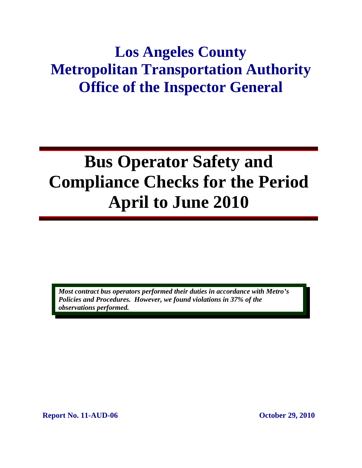## **Los Angeles County Metropolitan Transportation Authority Office of the Inspector General**

# **Bus Operator Safety and Compliance Checks for the Period April to June 2010**

*Most contract bus operators performed their duties in accordance with Metro's Policies and Procedures. However, we found violations in 37% of the observations performed.* 

**Report No. 11-AUD-06 October 29, 2010**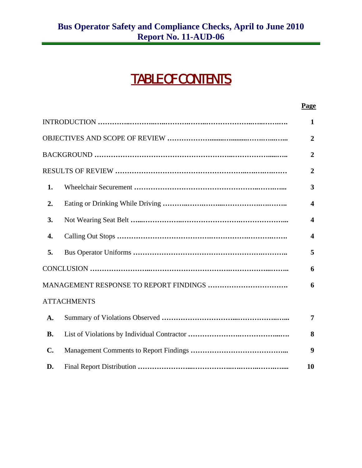## TABLE OF CONTENTS

|                |                                        | Page                    |
|----------------|----------------------------------------|-------------------------|
|                |                                        | $\mathbf{1}$            |
|                |                                        | $\overline{2}$          |
|                |                                        | $\overline{2}$          |
|                |                                        | $\overline{2}$          |
| 1.             |                                        | 3                       |
| 2.             |                                        | $\overline{\mathbf{4}}$ |
| 3.             |                                        | $\boldsymbol{\Delta}$   |
| 4.             |                                        | $\overline{\mathbf{4}}$ |
| 5.             |                                        | 5                       |
|                |                                        | 6                       |
|                | MANAGEMENT RESPONSE TO REPORT FINDINGS | 6                       |
|                | <b>ATTACHMENTS</b>                     |                         |
| A.             |                                        | 7                       |
| <b>B.</b>      |                                        | 8                       |
| $\mathbf{C}$ . |                                        | 9                       |
| D.             |                                        | 10                      |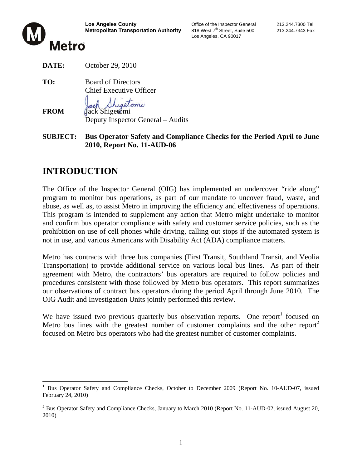

Los Angeles, CA 90017



**DATE:** October 29, 2010

**TO:** Board of Directors Chief Executive Officer Shigetomi

**FROM** Jack Shigetomi Deputy Inspector General – Audits

**SUBJECT: Bus Operator Safety and Compliance Checks for the Period April to June 2010, Report No. 11-AUD-06**

#### **INTRODUCTION**

The Office of the Inspector General (OIG) has implemented an undercover "ride along" program to monitor bus operations, as part of our mandate to uncover fraud, waste, and abuse, as well as, to assist Metro in improving the efficiency and effectiveness of operations. This program is intended to supplement any action that Metro might undertake to monitor and confirm bus operator compliance with safety and customer service policies, such as the prohibition on use of cell phones while driving, calling out stops if the automated system is not in use, and various Americans with Disability Act (ADA) compliance matters.

Metro has contracts with three bus companies (First Transit, Southland Transit, and Veolia Transportation) to provide additional service on various local bus lines. As part of their agreement with Metro, the contractors' bus operators are required to follow policies and procedures consistent with those followed by Metro bus operators. This report summarizes our observations of contract bus operators during the period April through June 2010. The OIG Audit and Investigation Units jointly performed this review.

We have issued two previous quarterly bus observation reports. One report<sup>1</sup> focused on Metro bus lines with the greatest number of customer complaints and the other report<sup>2</sup> focused on Metro bus operators who had the greatest number of customer complaints.

 $\overline{a}$ <sup>1</sup> Bus Operator Safety and Compliance Checks, October to December 2009 (Report No. 10-AUD-07, issued February 24, 2010)

<sup>&</sup>lt;sup>2</sup> Bus Operator Safety and Compliance Checks, January to March 2010 (Report No. 11-AUD-02, issued August 20, 2010)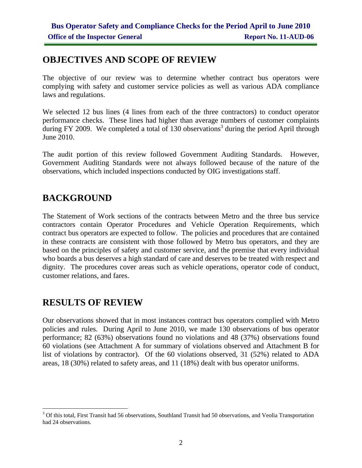#### **OBJECTIVES AND SCOPE OF REVIEW**

The objective of our review was to determine whether contract bus operators were complying with safety and customer service policies as well as various ADA compliance laws and regulations.

We selected 12 bus lines (4 lines from each of the three contractors) to conduct operator performance checks. These lines had higher than average numbers of customer complaints during FY 2009. We completed a total of 130 observations<sup>3</sup> during the period April through June 2010.

The audit portion of this review followed Government Auditing Standards. However, Government Auditing Standards were not always followed because of the nature of the observations, which included inspections conducted by OIG investigations staff.

#### **BACKGROUND**

The Statement of Work sections of the contracts between Metro and the three bus service contractors contain Operator Procedures and Vehicle Operation Requirements, which contract bus operators are expected to follow. The policies and procedures that are contained in these contracts are consistent with those followed by Metro bus operators, and they are based on the principles of safety and customer service, and the premise that every individual who boards a bus deserves a high standard of care and deserves to be treated with respect and dignity. The procedures cover areas such as vehicle operations, operator code of conduct, customer relations, and fares.

#### **RESULTS OF REVIEW**

Our observations showed that in most instances contract bus operators complied with Metro policies and rules. During April to June 2010, we made 130 observations of bus operator performance; 82 (63%) observations found no violations and 48 (37%) observations found 60 violations (see Attachment A for summary of violations observed and Attachment B for list of violations by contractor). Of the 60 violations observed, 31 (52%) related to ADA areas, 18 (30%) related to safety areas, and 11 (18%) dealt with bus operator uniforms.

<sup>&</sup>lt;sup>3</sup> Of this total, First Transit had 56 observations, Southland Transit had 50 observations, and Veolia Transportation had 24 observations.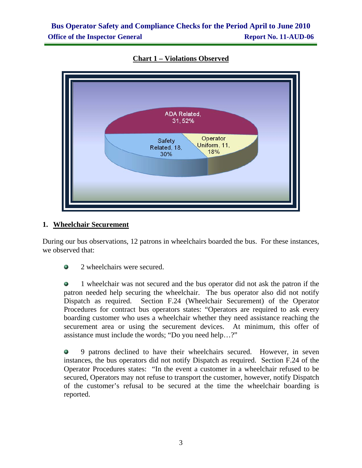#### **Bus Operator Safety and Compliance Checks for the Period April to June 2010 Office of the Inspector General Report No. 11-AUD-06**



**Chart 1 – Violations Observed**

#### **1. Wheelchair Securement**

During our bus observations, 12 patrons in wheelchairs boarded the bus. For these instances, we observed that:

• 2 wheelchairs were secured.

 1 wheelchair was not secured and the bus operator did not ask the patron if the patron needed help securing the wheelchair. The bus operator also did not notify Dispatch as required. Section F.24 (Wheelchair Securement) of the Operator Procedures for contract bus operators states: "Operators are required to ask every boarding customer who uses a wheelchair whether they need assistance reaching the securement area or using the securement devices. At minimum, this offer of assistance must include the words; "Do you need help…?"

 9 patrons declined to have their wheelchairs secured. However, in seven instances, the bus operators did not notify Dispatch as required. Section F.24 of the Operator Procedures states: "In the event a customer in a wheelchair refused to be secured, Operators may not refuse to transport the customer, however, notify Dispatch of the customer's refusal to be secured at the time the wheelchair boarding is reported.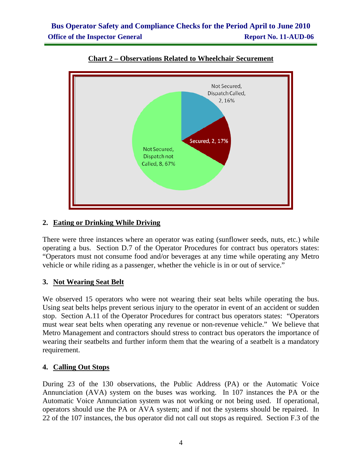

#### **Chart 2 – Observations Related to Wheelchair Securement**

#### **2. Eating or Drinking While Driving**

There were three instances where an operator was eating (sunflower seeds, nuts, etc.) while operating a bus. Section D.7 of the Operator Procedures for contract bus operators states: "Operators must not consume food and/or beverages at any time while operating any Metro vehicle or while riding as a passenger, whether the vehicle is in or out of service."

#### **3. Not Wearing Seat Belt**

We observed 15 operators who were not wearing their seat belts while operating the bus. Using seat belts helps prevent serious injury to the operator in event of an accident or sudden stop. Section A.11 of the Operator Procedures for contract bus operators states: "Operators must wear seat belts when operating any revenue or non-revenue vehicle." We believe that Metro Management and contractors should stress to contract bus operators the importance of wearing their seatbelts and further inform them that the wearing of a seatbelt is a mandatory requirement.

#### **4. Calling Out Stops**

During 23 of the 130 observations, the Public Address (PA) or the Automatic Voice Annunciation (AVA) system on the buses was working. In 107 instances the PA or the Automatic Voice Annunciation system was not working or not being used. If operational, operators should use the PA or AVA system; and if not the systems should be repaired. In 22 of the 107 instances, the bus operator did not call out stops as required. Section F.3 of the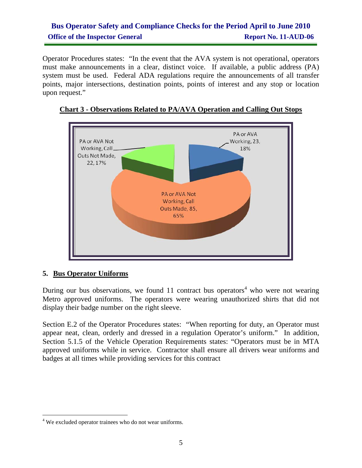#### **Bus Operator Safety and Compliance Checks for the Period April to June 2010 Office of the Inspector General Report No. 11-AUD-06**

Operator Procedures states: "In the event that the AVA system is not operational, operators must make announcements in a clear, distinct voice. If available, a public address (PA) system must be used. Federal ADA regulations require the announcements of all transfer points, major intersections, destination points, points of interest and any stop or location upon request."



#### **Chart 3 - Observations Related to PA/AVA Operation and Calling Out Stops**

#### **5. Bus Operator Uniforms**

 $\overline{a}$ 

During our bus observations, we found 11 contract bus operators<sup>4</sup> who were not wearing Metro approved uniforms. The operators were wearing unauthorized shirts that did not display their badge number on the right sleeve.

Section E.2 of the Operator Procedures states: "When reporting for duty, an Operator must appear neat, clean, orderly and dressed in a regulation Operator's uniform." In addition, Section 5.1.5 of the Vehicle Operation Requirements states: "Operators must be in MTA approved uniforms while in service. Contractor shall ensure all drivers wear uniforms and badges at all times while providing services for this contract

<sup>&</sup>lt;sup>4</sup> We excluded operator trainees who do not wear uniforms.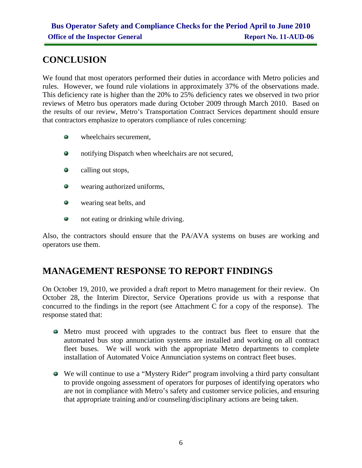#### **CONCLUSION**

We found that most operators performed their duties in accordance with Metro policies and rules. However, we found rule violations in approximately 37% of the observations made. This deficiency rate is higher than the 20% to 25% deficiency rates we observed in two prior reviews of Metro bus operators made during October 2009 through March 2010. Based on the results of our review, Metro's Transportation Contract Services department should ensure that contractors emphasize to operators compliance of rules concerning:

- $\bullet$  wheelchairs securement,
- ٠ notifying Dispatch when wheelchairs are not secured,
- calling out stops,
- ۰ wearing authorized uniforms,
- $\mathcal{L}_{\mathcal{A}}$ wearing seat belts, and
- not eating or drinking while driving.

Also, the contractors should ensure that the PA/AVA systems on buses are working and operators use them.

#### **MANAGEMENT RESPONSE TO REPORT FINDINGS**

On October 19, 2010, we provided a draft report to Metro management for their review. On October 28, the Interim Director, Service Operations provide us with a response that concurred to the findings in the report (see Attachment C for a copy of the response). The response stated that:

- Metro must proceed with upgrades to the contract bus fleet to ensure that the automated bus stop annunciation systems are installed and working on all contract fleet buses. We will work with the appropriate Metro departments to complete installation of Automated Voice Annunciation systems on contract fleet buses.
- We will continue to use a "Mystery Rider" program involving a third party consultant to provide ongoing assessment of operators for purposes of identifying operators who are not in compliance with Metro's safety and customer service policies, and ensuring that appropriate training and/or counseling/disciplinary actions are being taken.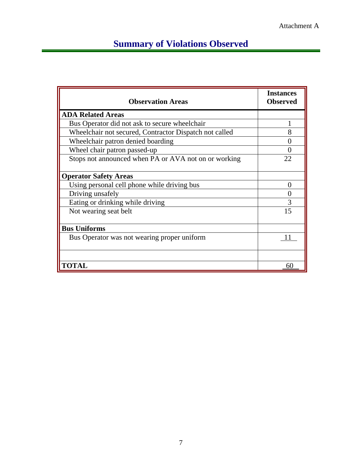## **Summary of Violations Observed**

| <b>Observation Areas</b>                               | <b>Instances</b><br><b>Observed</b> |
|--------------------------------------------------------|-------------------------------------|
| <b>ADA Related Areas</b>                               |                                     |
| Bus Operator did not ask to secure wheelchair          |                                     |
| Wheelchair not secured, Contractor Dispatch not called |                                     |
| Wheelchair patron denied boarding                      |                                     |
| Wheel chair patron passed-up                           |                                     |
| Stops not announced when PA or AVA not on or working   | 22                                  |
| <b>Operator Safety Areas</b>                           |                                     |
| Using personal cell phone while driving bus            | $\mathbf{\Omega}$                   |
| Driving unsafely                                       |                                     |
| Eating or drinking while driving                       | 3                                   |
| Not wearing seat belt                                  | 15                                  |
| <b>Bus Uniforms</b>                                    |                                     |
| Bus Operator was not wearing proper uniform            | 11                                  |
|                                                        |                                     |
| <b>TOTAL</b>                                           | 60                                  |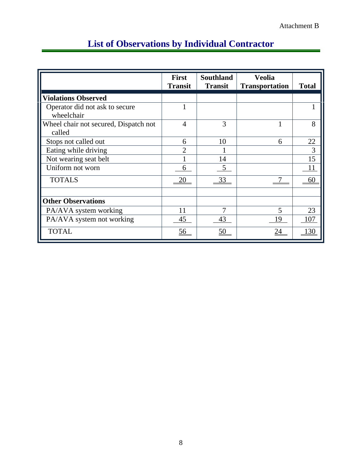|                                                 | <b>First</b><br><b>Transit</b> | <b>Southland</b><br><b>Transit</b> | <b>Veolia</b><br><b>Transportation</b> | <b>Total</b> |
|-------------------------------------------------|--------------------------------|------------------------------------|----------------------------------------|--------------|
| <b>Violations Observed</b>                      |                                |                                    |                                        |              |
| Operator did not ask to secure<br>wheelchair    | 1                              |                                    |                                        |              |
| Wheel chair not secured, Dispatch not<br>called | $\overline{4}$                 | 3                                  |                                        | 8            |
| Stops not called out                            | 6                              | 10                                 | 6                                      | 22           |
| Eating while driving                            | $\mathfrak{D}$                 |                                    |                                        | 3            |
| Not wearing seat belt                           |                                | 14                                 |                                        | 15           |
| Uniform not worn                                | 6                              | $\mathfrak{S}$                     |                                        | 11           |
| <b>TOTALS</b>                                   | 20                             | 33                                 |                                        | 60           |
| <b>Other Observations</b>                       |                                |                                    |                                        |              |
| PA/AVA system working                           | 11                             | 7                                  | 5                                      | 23           |
| PA/AVA system not working                       | 45                             | 43                                 | 19                                     | 107          |
| <b>TOTAL</b>                                    | 56                             | 50                                 | 24                                     | 130          |

## **List of Observations by Individual Contractor**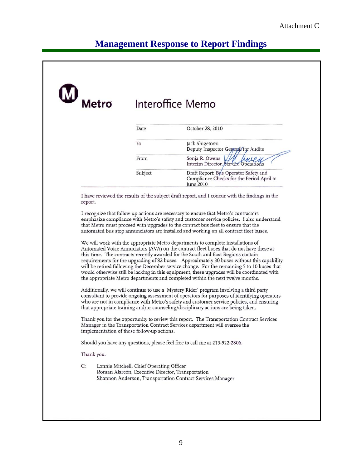## **Management Response to Report Findings**

| Metro      |                                            | Interoffice Memo                                                                                                                                                                                                                                                                                                                                                                                                                                                                                                                                                                                                                              |
|------------|--------------------------------------------|-----------------------------------------------------------------------------------------------------------------------------------------------------------------------------------------------------------------------------------------------------------------------------------------------------------------------------------------------------------------------------------------------------------------------------------------------------------------------------------------------------------------------------------------------------------------------------------------------------------------------------------------------|
|            | Date                                       | October 28, 2010                                                                                                                                                                                                                                                                                                                                                                                                                                                                                                                                                                                                                              |
|            | To                                         | Jack Shigetomi<br>Deputy Inspector Gemeral for Audits                                                                                                                                                                                                                                                                                                                                                                                                                                                                                                                                                                                         |
|            | From                                       | Sonja R. Owens<br>Interim Director, Service Operations                                                                                                                                                                                                                                                                                                                                                                                                                                                                                                                                                                                        |
|            | Subject                                    | Draft Report: Bus Operator Safety and<br>Compliance Checks for the Period April to<br>June 2010                                                                                                                                                                                                                                                                                                                                                                                                                                                                                                                                               |
| report.    |                                            | I have reviewed the results of the subject draft report, and I concur with the findings in the<br>I recognize that follow-up actions are necessary to ensure that Metro's contractors<br>emphasize compliance with Metro's safety and customer service policies. I also understand<br>that Metro must proceed with upgrades to the contract bus fleet to ensure that the                                                                                                                                                                                                                                                                      |
|            |                                            | automated bus stop annunciators are installed and working on all contract fleet buses.                                                                                                                                                                                                                                                                                                                                                                                                                                                                                                                                                        |
|            |                                            | We will work with the appropriate Metro departments to complete installations of<br>Automated Voice Annuciators (AVA) on the contract fleet buses that do not have these at<br>this time. The contracts recently awarded for the South and East Regions contain<br>requirements for the upgrading of 82 buses. Approximately 30 buses without this capability<br>will be retired following the December service change. For the remaining 5 to 10 buses that<br>would otherwise still be lacking in this equipment, these upgrades will be coordinated with<br>the appropriate Metro departments and completed within the next twelve months. |
|            |                                            | Additionally, we will continue to use a 'Mystery Rider' program involving a third party<br>consultant to provide ongoing assessment of operators for purposes of identifying operators<br>who are not in compliance with Metro's safety and customer service policies, and ensuring<br>that appropriate training and/or counseling/disciplinary actions are being taken.                                                                                                                                                                                                                                                                      |
|            | implementation of these follow-up actions. | Thank you for the opportunity to review this report. The Transportation Contract Services<br>Manager in the Transportation Contract Services department will oversee the                                                                                                                                                                                                                                                                                                                                                                                                                                                                      |
|            |                                            | Should you have any questions, please feel free to call me at 213-922-2806.                                                                                                                                                                                                                                                                                                                                                                                                                                                                                                                                                                   |
| Thank you. |                                            |                                                                                                                                                                                                                                                                                                                                                                                                                                                                                                                                                                                                                                               |